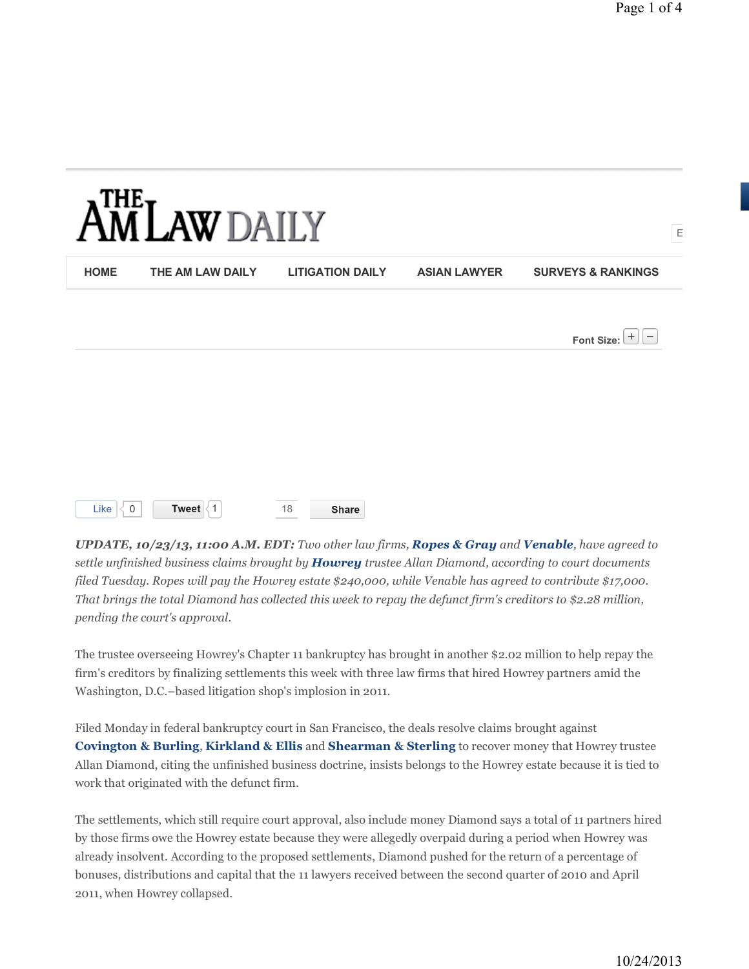

*UPDATE, 10/23/13, 11:00 A.M. EDT: Two other law firms, Ropes & Gray and Venable, have agreed to settle unfinished business claims brought by Howrey trustee Allan Diamond, according to court documents filed Tuesday. Ropes will pay the Howrey estate \$240,000, while Venable has agreed to contribute \$17,000. That brings the total Diamond has collected this week to repay the defunct firm's creditors to \$2.28 million, pending the court's approval.*

Share

Tweet  $\langle 1 |$  18

Like  $\vert \langle 0 \vert \vert$ 

The trustee overseeing Howrey's Chapter 11 bankruptcy has brought in another \$2.02 million to help repay the firm's creditors by finalizing settlements this week with three law firms that hired Howrey partners amid the Washington, D.C.–based litigation shop's implosion in 2011.

Filed Monday in federal bankruptcy court in San Francisco, the deals resolve claims brought against **Covington & Burling**, **Kirkland & Ellis** and **Shearman & Sterling** to recover money that Howrey trustee Allan Diamond, citing the unfinished business doctrine, insists belongs to the Howrey estate because it is tied to work that originated with the defunct firm.

The settlements, which still require court approval, also include money Diamond says a total of 11 partners hired by those firms owe the Howrey estate because they were allegedly overpaid during a period when Howrey was already insolvent. According to the proposed settlements, Diamond pushed for the return of a percentage of bonuses, distributions and capital that the 11 lawyers received between the second quarter of 2010 and April 2011, when Howrey collapsed.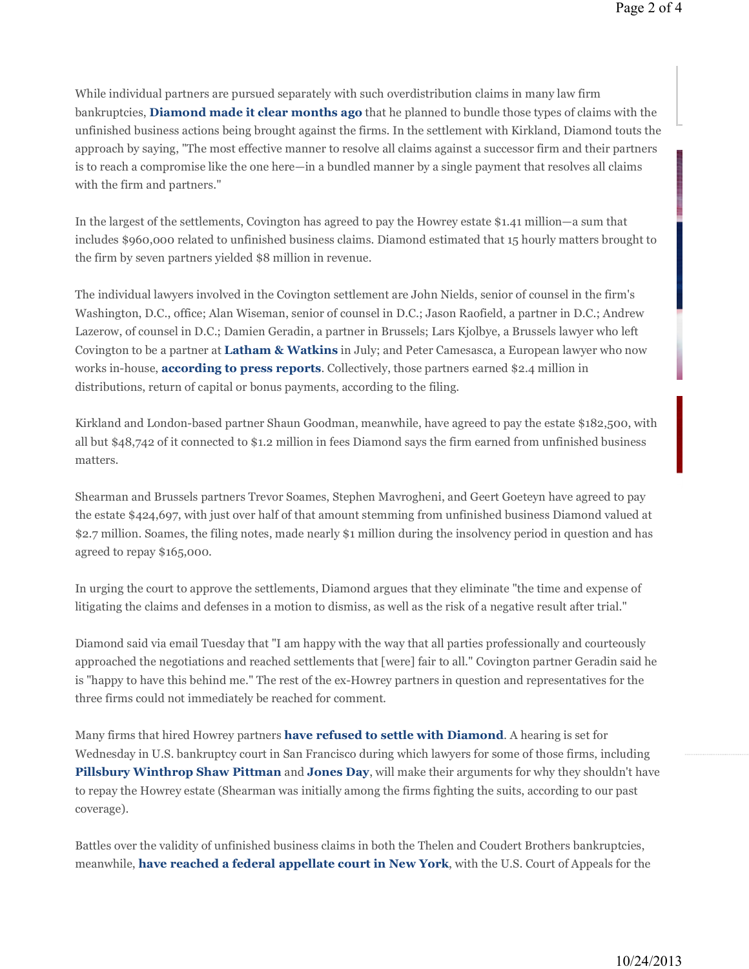While individual partners are pursued separately with such overdistribution claims in many law firm bankruptcies, **Diamond made it clear months ago** that he planned to bundle those types of claims with the unfinished business actions being brought against the firms. In the settlement with Kirkland, Diamond touts the approach by saying, "The most effective manner to resolve all claims against a successor firm and their partners is to reach a compromise like the one here—in a bundled manner by a single payment that resolves all claims with the firm and partners."

In the largest of the settlements, Covington has agreed to pay the Howrey estate \$1.41 million—a sum that includes \$960,000 related to unfinished business claims. Diamond estimated that 15 hourly matters brought to the firm by seven partners yielded \$8 million in revenue.

The individual lawyers involved in the Covington settlement are John Nields, senior of counsel in the firm's Washington, D.C., office; Alan Wiseman, senior of counsel in D.C.; Jason Raofield, a partner in D.C.; Andrew Lazerow, of counsel in D.C.; Damien Geradin, a partner in Brussels; Lars Kjolbye, a Brussels lawyer who left Covington to be a partner at **Latham & Watkins** in July; and Peter Camesasca, a European lawyer who now works in-house, **according to press reports**. Collectively, those partners earned \$2.4 million in distributions, return of capital or bonus payments, according to the filing.

Kirkland and London-based partner Shaun Goodman, meanwhile, have agreed to pay the estate \$182,500, with all but \$48,742 of it connected to \$1.2 million in fees Diamond says the firm earned from unfinished business matters.

Shearman and Brussels partners Trevor Soames, Stephen Mavrogheni, and Geert Goeteyn have agreed to pay the estate \$424,697, with just over half of that amount stemming from unfinished business Diamond valued at \$2.7 million. Soames, the filing notes, made nearly \$1 million during the insolvency period in question and has agreed to repay \$165,000.

In urging the court to approve the settlements, Diamond argues that they eliminate "the time and expense of litigating the claims and defenses in a motion to dismiss, as well as the risk of a negative result after trial."

Diamond said via email Tuesday that "I am happy with the way that all parties professionally and courteously approached the negotiations and reached settlements that [were] fair to all." Covington partner Geradin said he is "happy to have this behind me." The rest of the ex-Howrey partners in question and representatives for the three firms could not immediately be reached for comment.

Many firms that hired Howrey partners **have refused to settle with Diamond**. A hearing is set for Wednesday in U.S. bankruptcy court in San Francisco during which lawyers for some of those firms, including **Pillsbury Winthrop Shaw Pittman** and **Jones Day**, will make their arguments for why they shouldn't have to repay the Howrey estate (Shearman was initially among the firms fighting the suits, according to our past coverage).

Battles over the validity of unfinished business claims in both the Thelen and Coudert Brothers bankruptcies, meanwhile, **have reached a federal appellate court in New York**, with the U.S. Court of Appeals for the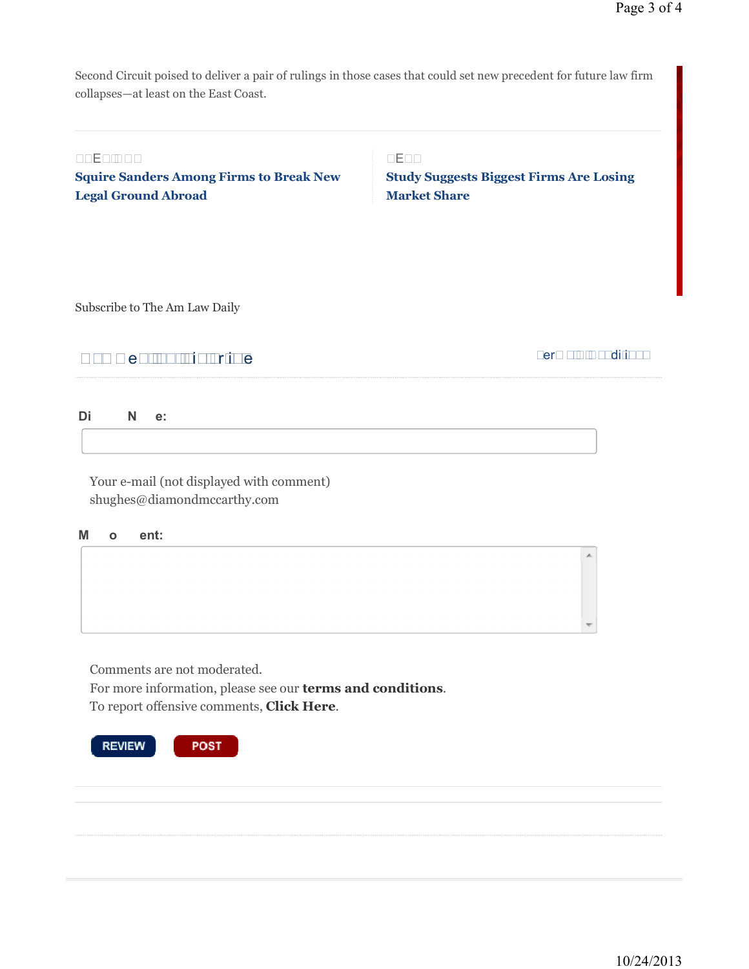Second Circuit poised to deliver a pair of rulings in those cases that could set new precedent for future law firm collapses-at least on the East Coast.

## $11E1111$

**Squire Sanders Among Firms to Break New Legal Ground Abroad** 

 $!E!$ 

**Study Suggests Biggest Firms Are Losing Market Share** 

Subscribe to The Am Law Daily

## 

! er! !!! !! !! di!i! !!

## Di N e:

Your e-mail (not displayed with comment) shughes@diamondmccarthy.com

## M  $\mathbf{o}$ ent:

Comments are not moderated. For more information, please see our **terms and conditions**. To report offensive comments, Click Here.